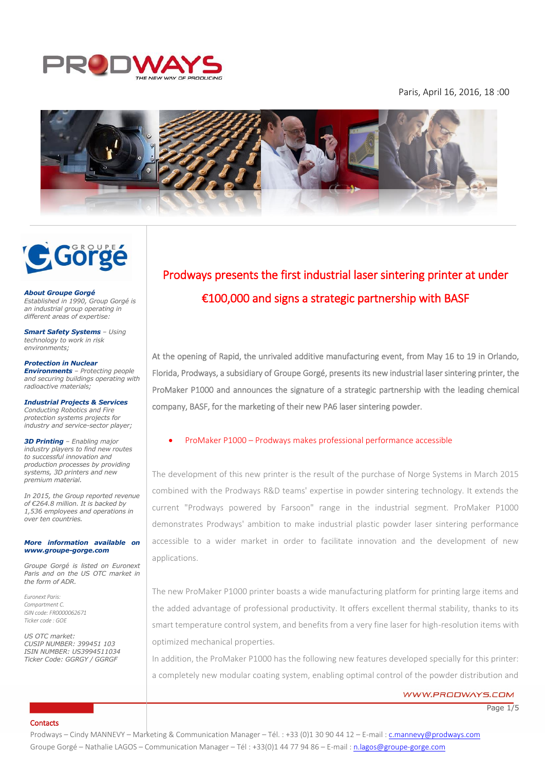

# Paris, April 16, 2016, 18 :00





#### *About Groupe Gorgé*

*Established in 1990, Group Gorgé is an industrial group operating in different areas of expertise:*

*Smart Safety Systems – Using technology to work in risk environments;*

*Protection in Nuclear Environments – Protecting people and securing buildings operating with radioactive materials;*

*Industrial Projects & Services Conducting Robotics and Fire protection systems projects for industry and service-sector player;*

*3D Printing – Enabling major industry players to find new routes to successful innovation and production processes by providing systems, 3D printers and new premium material.*

*In 2015, the Group reported revenue of €264.8 million. It is backed by 1,536 employees and operations in over ten countries.*

#### *More information available on [www.groupe-gorge.com](http://www.groupe-gorge.com/)*

*Groupe Gorgé is listed on Euronext Paris and on the US OTC market in the form of ADR.*

*Euronext Paris: Compartment C. ISIN code: FR0000062671 Ticker code : GOE*

*US OTC market: CUSIP NUMBER: 399451 103 ISIN NUMBER: US3994511034 Ticker Code: GGRGY / GGRGF*

# Prodways presents the first industrial laser sintering printer at under €100,000 and signs a strategic partnership with BASF

I

At the opening of Rapid, the unrivaled additive manufacturing event, from May 16 to 19 in Orlando, Florida, Prodways, a subsidiary of Groupe Gorgé, presents its new industrial laser sintering printer, the ProMaker P1000 and announces the signature of a strategic partnership with the leading chemical company, BASF, for the marketing of their new PA6 laser sintering powder.

# ProMaker P1000 – Prodways makes professional performance accessible

The development of this new printer is the result of the purchase of Norge Systems in March 2015 combined with the Prodways R&D teams' expertise in powder sintering technology. It extends the current "Prodways powered by Farsoon" range in the industrial segment. ProMaker P1000 demonstrates Prodways' ambition to make industrial plastic powder laser sintering performance accessible to a wider market in order to facilitate innovation and the development of new applications.

The new ProMaker P1000 printer boasts a wide manufacturing platform for printing large items and the added advantage of professional productivity. It offers excellent thermal stability, thanks to its smart temperature control system, and benefits from a very fine laser for high-resolution items with optimized mechanical properties.

In addition, the ProMaker P1000 has the following new features developed specially for this printer: a completely new modular coating system, enabling optimal control of the powder distribution and

# WWW.PRODWAYS.COM

Page  $1/5$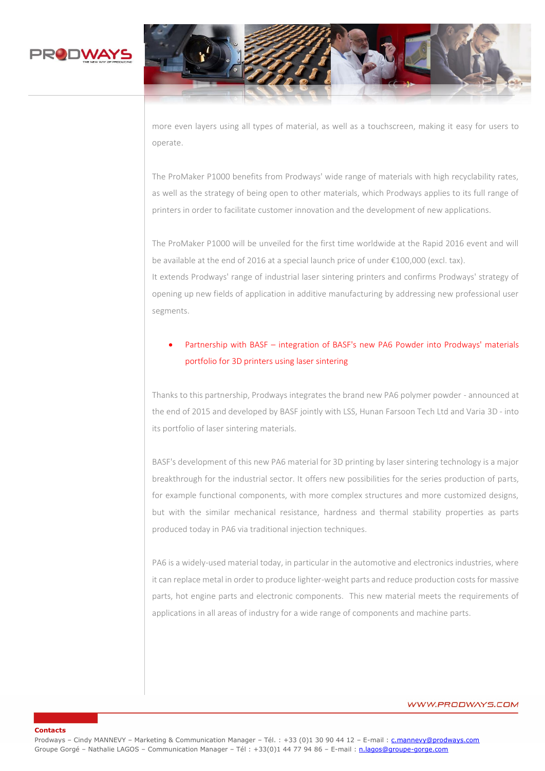

**Contacts**



more even layers using all types of material, as well as a touchscreen, making it easy for users to operate.

The ProMaker P1000 benefits from Prodways' wide range of materials with high recyclability rates, as well as the strategy of being open to other materials, which Prodways applies to its full range of printers in order to facilitate customer innovation and the development of new applications.

The ProMaker P1000 will be unveiled for the first time worldwide at the Rapid 2016 event and will be available at the end of 2016 at a special launch price of under €100,000 (excl. tax).

It extends Prodways' range of industrial laser sintering printers and confirms Prodways' strategy of opening up new fields of application in additive manufacturing by addressing new professional user segments.

# Partnership with BASF – integration of BASF's new PA6 Powder into Prodways' materials portfolio for 3D printers using laser sintering

Thanks to this partnership, Prodways integrates the brand new PA6 polymer powder - announced at the end of 2015 and developed by BASF jointly with LSS, Hunan Farsoon Tech Ltd and Varia 3D - into its portfolio of laser sintering materials.

BASF's development of this new PA6 material for 3D printing by laser sintering technology is a major breakthrough for the industrial sector. It offers new possibilities for the series production of parts, for example functional components, with more complex structures and more customized designs, but with the similar mechanical resistance, hardness and thermal stability properties as parts produced today in PA6 via traditional injection techniques.

PA6 is a widely-used material today, in particular in the automotive and electronics industries, where it can replace metal in order to produce lighter-weight parts and reduce production costs for massive parts, hot engine parts and electronic components. This new material meets the requirements of applications in all areas of industry for a wide range of components and machine parts.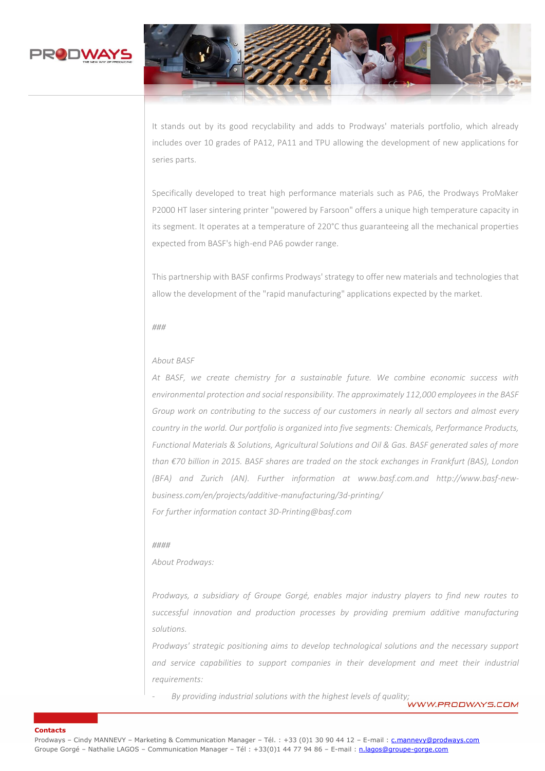



It stands out by its good recyclability and adds to Prodways' materials portfolio, which already includes over 10 grades of PA12, PA11 and TPU allowing the development of new applications for series parts.

Specifically developed to treat high performance materials such as PA6, the Prodways ProMaker P2000 HT laser sintering printer "powered by Farsoon" offers a unique high temperature capacity in its segment. It operates at a temperature of 220°C thus guaranteeing all the mechanical properties expected from BASF's high-end PA6 powder range.

This partnership with BASF confirms Prodways' strategy to offer new materials and technologies that allow the development of the "rapid manufacturing" applications expected by the market.

#### *###*

#### *About BASF*

*At BASF, we create chemistry for a sustainable future. We combine economic success with environmental protection and social responsibility. The approximately 112,000 employees in the BASF Group work on contributing to the success of our customers in nearly all sectors and almost every country in the world. Our portfolio is organized into five segments: Chemicals, Performance Products, Functional Materials & Solutions, Agricultural Solutions and Oil & Gas. BASF generated sales of more than €70 billion in 2015. BASF shares are traded on the stock exchanges in Frankfurt (BAS), London (BFA) and Zurich (AN). Further information at www.basf.com.and http://www.basf-newbusiness.com/en/projects/additive-manufacturing/3d-printing/ For further information contact 3D-Printing@basf.com*

#### *####*

*About Prodways:*

*Prodways, a subsidiary of Groupe Gorgé, enables major industry players to find new routes to successful innovation and production processes by providing premium additive manufacturing solutions.*

*Prodways' strategic positioning aims to develop technological solutions and the necessary support*  and service capabilities to support companies in their development and meet their industrial *requirements:*

By providing industrial solutions with the highest levels of quality;<br>**WWW.PRODWAYS.COM**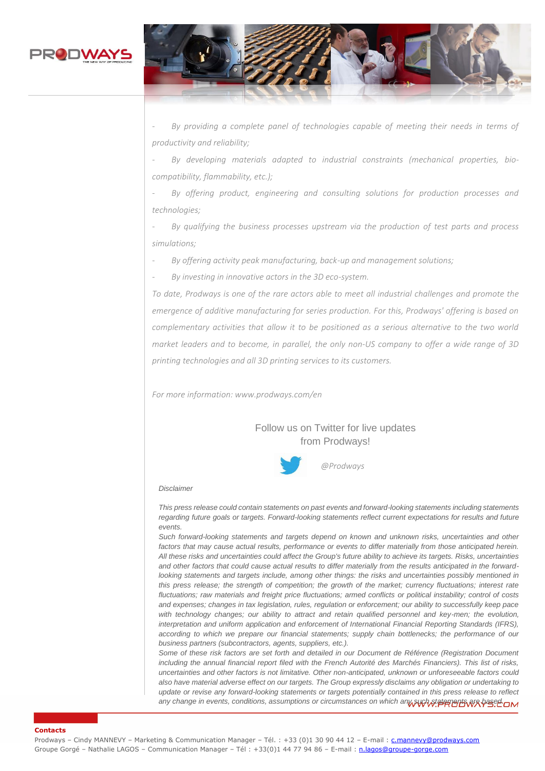



*- By providing a complete panel of technologies capable of meeting their needs in terms of productivity and reliability;*

*- By developing materials adapted to industrial constraints (mechanical properties, biocompatibility, flammability, etc.);*

*- By offering product, engineering and consulting solutions for production processes and technologies;*

*- By qualifying the business processes upstream via the production of test parts and process simulations;*

*- By offering activity peak manufacturing, back-up and management solutions;*

*- By investing in innovative actors in the 3D eco-system.*

*To date, Prodways is one of the rare actors able to meet all industrial challenges and promote the emergence of additive manufacturing for series production. For this, Prodways' offering is based on complementary activities that allow it to be positioned as a serious alternative to the two world market leaders and to become, in parallel, the only non-US company to offer a wide range of 3D printing technologies and all 3D printing services to its customers.*

*For more information: www.prodways.com/en*

Follow us on Twitter for live updates from Prodways!



#### *Disclaimer*

*This press release could contain statements on past events and forward-looking statements including statements regarding future goals or targets. Forward-looking statements reflect current expectations for results and future events.*

*Such forward-looking statements and targets depend on known and unknown risks, uncertainties and other factors that may cause actual results, performance or events to differ materially from those anticipated herein. All these risks and uncertainties could affect the Group's future ability to achieve its targets. Risks, uncertainties and other factors that could cause actual results to differ materially from the results anticipated in the forwardlooking statements and targets include, among other things: the risks and uncertainties possibly mentioned in this press release; the strength of competition; the growth of the market; currency fluctuations; interest rate fluctuations; raw materials and freight price fluctuations; armed conflicts or political instability; control of costs and expenses; changes in tax legislation, rules, regulation or enforcement; our ability to successfully keep pace*  with technology changes; our ability to attract and retain qualified personnel and key-men; the evolution, *interpretation and uniform application and enforcement of International Financial Reporting Standards (IFRS), according to which we prepare our financial statements; supply chain bottlenecks; the performance of our business partners (subcontractors, agents, suppliers, etc.).*

*Some of these risk factors are set forth and detailed in our Document de Référence (Registration Document including the annual financial report filed with the French Autorité des Marchés Financiers). This list of risks, uncertainties and other factors is not limitative. Other non-anticipated, unknown or unforeseeable factors could also have material adverse effect on our targets. The Group expressly disclaims any obligation or undertaking to*  update or revise any forward-looking statements or targets potentially contained in this press release to reflect *any change in events, conditions, assumptions or circumstances on which any such statements are based.*